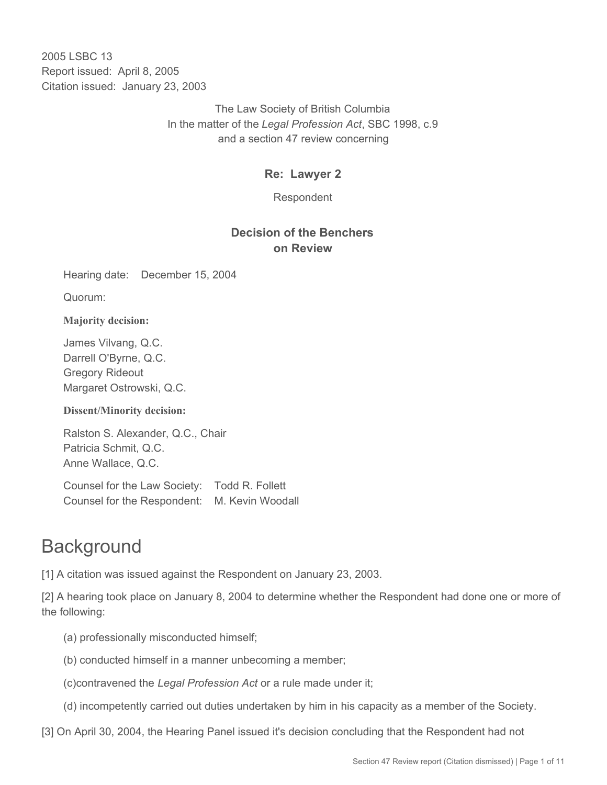2005 LSBC 13 Report issued: April 8, 2005 Citation issued: January 23, 2003

> The Law Society of British Columbia In the matter of the *Legal Profession Act*, SBC 1998, c.9 and a section 47 review concerning

## **Re: Lawyer 2**

Respondent

# **Decision of the Benchers on Review**

Hearing date: December 15, 2004

Quorum:

**Majority decision:**

James Vilvang, Q.C. Darrell O'Byrne, Q.C. Gregory Rideout Margaret Ostrowski, Q.C.

**Dissent/Minority decision:**

Ralston S. Alexander, Q.C., Chair Patricia Schmit, Q.C. Anne Wallace, Q.C.

Counsel for the Law Society: Todd R. Follett Counsel for the Respondent: M. Kevin Woodall

# **Background**

[1] A citation was issued against the Respondent on January 23, 2003.

[2] A hearing took place on January 8, 2004 to determine whether the Respondent had done one or more of the following:

- (a) professionally misconducted himself;
- (b) conducted himself in a manner unbecoming a member;
- (c)contravened the *Legal Profession Act* or a rule made under it;
- (d) incompetently carried out duties undertaken by him in his capacity as a member of the Society.
- [3] On April 30, 2004, the Hearing Panel issued it's decision concluding that the Respondent had not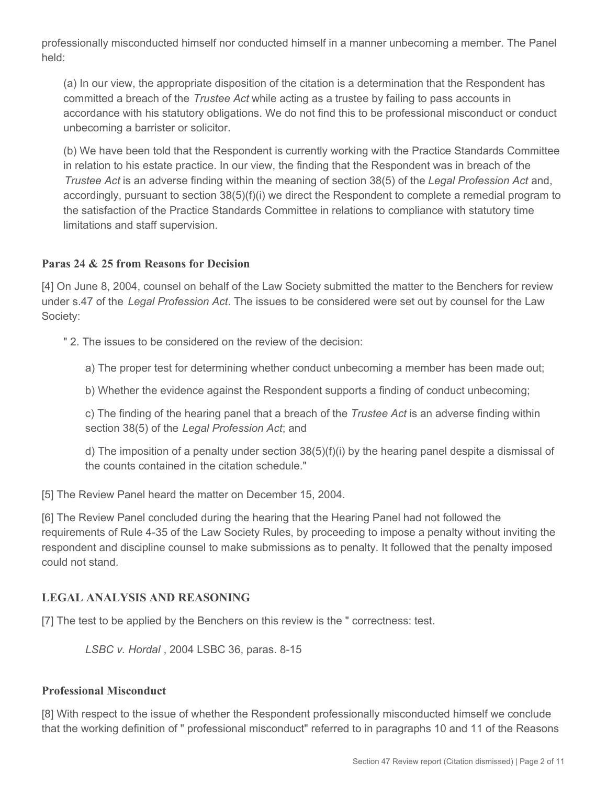professionally misconducted himself nor conducted himself in a manner unbecoming a member. The Panel held:

(a) In our view, the appropriate disposition of the citation is a determination that the Respondent has committed a breach of the *Trustee Act* while acting as a trustee by failing to pass accounts in accordance with his statutory obligations. We do not find this to be professional misconduct or conduct unbecoming a barrister or solicitor.

(b) We have been told that the Respondent is currently working with the Practice Standards Committee in relation to his estate practice. In our view, the finding that the Respondent was in breach of the *Trustee Act* is an adverse finding within the meaning of section 38(5) of the *Legal Profession Act* and, accordingly, pursuant to section 38(5)(f)(i) we direct the Respondent to complete a remedial program to the satisfaction of the Practice Standards Committee in relations to compliance with statutory time limitations and staff supervision.

#### **Paras 24 & 25 from Reasons for Decision**

[4] On June 8, 2004, counsel on behalf of the Law Society submitted the matter to the Benchers for review under s.47 of the *Legal Profession Act*. The issues to be considered were set out by counsel for the Law Society:

- " 2. The issues to be considered on the review of the decision:
	- a) The proper test for determining whether conduct unbecoming a member has been made out;
	- b) Whether the evidence against the Respondent supports a finding of conduct unbecoming;

c) The finding of the hearing panel that a breach of the *Trustee Act* is an adverse finding within section 38(5) of the *Legal Profession Act*; and

d) The imposition of a penalty under section  $38(5)(f)(i)$  by the hearing panel despite a dismissal of the counts contained in the citation schedule."

[5] The Review Panel heard the matter on December 15, 2004.

[6] The Review Panel concluded during the hearing that the Hearing Panel had not followed the requirements of Rule 4-35 of the Law Society Rules, by proceeding to impose a penalty without inviting the respondent and discipline counsel to make submissions as to penalty. It followed that the penalty imposed could not stand.

## **LEGAL ANALYSIS AND REASONING**

[7] The test to be applied by the Benchers on this review is the " correctness: test.

*LSBC v. Hordal* , 2004 LSBC 36, paras. 8-15

#### **Professional Misconduct**

[8] With respect to the issue of whether the Respondent professionally misconducted himself we conclude that the working definition of " professional misconduct" referred to in paragraphs 10 and 11 of the Reasons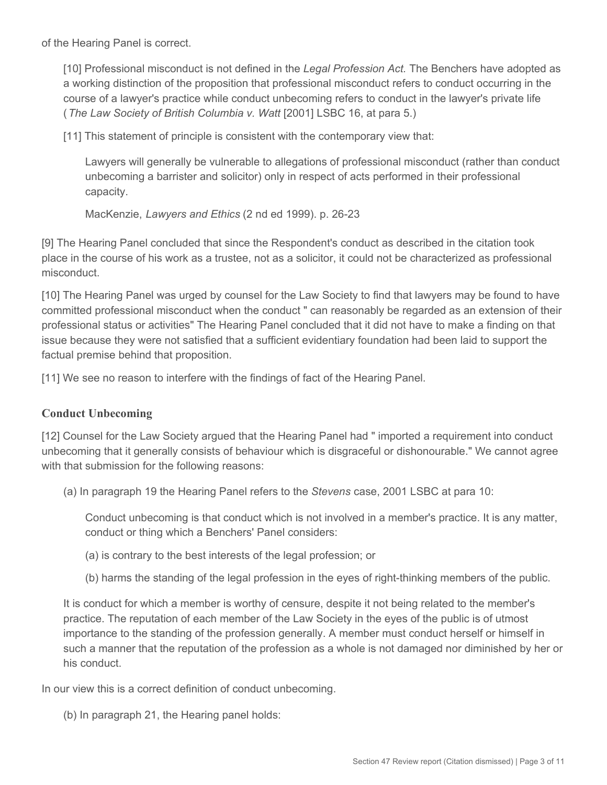of the Hearing Panel is correct.

[10] Professional misconduct is not defined in the *Legal Profession Act.* The Benchers have adopted as a working distinction of the proposition that professional misconduct refers to conduct occurring in the course of a lawyer's practice while conduct unbecoming refers to conduct in the lawyer's private life (*The Law Society of British Columbia v. Watt* [2001] LSBC 16, at para 5.)

[11] This statement of principle is consistent with the contemporary view that:

Lawyers will generally be vulnerable to allegations of professional misconduct (rather than conduct unbecoming a barrister and solicitor) only in respect of acts performed in their professional capacity.

MacKenzie, *Lawyers and Ethics* (2 nd ed 1999). p. 26-23

[9] The Hearing Panel concluded that since the Respondent's conduct as described in the citation took place in the course of his work as a trustee, not as a solicitor, it could not be characterized as professional misconduct.

[10] The Hearing Panel was urged by counsel for the Law Society to find that lawyers may be found to have committed professional misconduct when the conduct " can reasonably be regarded as an extension of their professional status or activities" The Hearing Panel concluded that it did not have to make a finding on that issue because they were not satisfied that a sufficient evidentiary foundation had been laid to support the factual premise behind that proposition.

[11] We see no reason to interfere with the findings of fact of the Hearing Panel.

#### **Conduct Unbecoming**

[12] Counsel for the Law Society argued that the Hearing Panel had " imported a requirement into conduct unbecoming that it generally consists of behaviour which is disgraceful or dishonourable." We cannot agree with that submission for the following reasons:

(a) In paragraph 19 the Hearing Panel refers to the *Stevens* case, 2001 LSBC at para 10:

Conduct unbecoming is that conduct which is not involved in a member's practice. It is any matter, conduct or thing which a Benchers' Panel considers:

(a) is contrary to the best interests of the legal profession; or

(b) harms the standing of the legal profession in the eyes of right-thinking members of the public.

It is conduct for which a member is worthy of censure, despite it not being related to the member's practice. The reputation of each member of the Law Society in the eyes of the public is of utmost importance to the standing of the profession generally. A member must conduct herself or himself in such a manner that the reputation of the profession as a whole is not damaged nor diminished by her or his conduct.

In our view this is a correct definition of conduct unbecoming.

(b) In paragraph 21, the Hearing panel holds: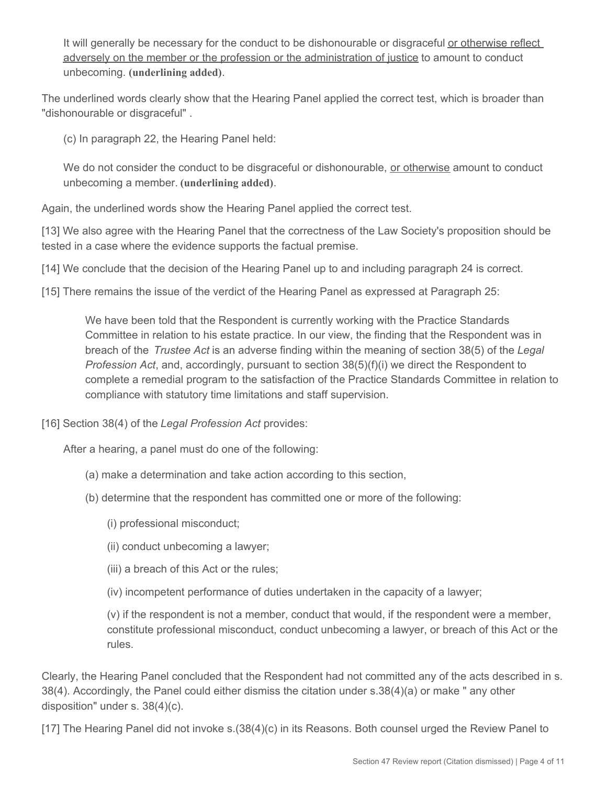It will generally be necessary for the conduct to be dishonourable or disgraceful or otherwise reflect adversely on the member or the profession or the administration of justice to amount to conduct unbecoming. **(underlining added)**.

The underlined words clearly show that the Hearing Panel applied the correct test, which is broader than "dishonourable or disgraceful" .

(c) In paragraph 22, the Hearing Panel held:

We do not consider the conduct to be disgraceful or dishonourable, or otherwise amount to conduct unbecoming a member. **(underlining added)**.

Again, the underlined words show the Hearing Panel applied the correct test.

[13] We also agree with the Hearing Panel that the correctness of the Law Society's proposition should be tested in a case where the evidence supports the factual premise.

[14] We conclude that the decision of the Hearing Panel up to and including paragraph 24 is correct.

[15] There remains the issue of the verdict of the Hearing Panel as expressed at Paragraph 25:

We have been told that the Respondent is currently working with the Practice Standards Committee in relation to his estate practice. In our view, the finding that the Respondent was in breach of the *Trustee Act* is an adverse finding within the meaning of section 38(5) of the *Legal Profession Act*, and, accordingly, pursuant to section 38(5)(f)(i) we direct the Respondent to complete a remedial program to the satisfaction of the Practice Standards Committee in relation to compliance with statutory time limitations and staff supervision.

[16] Section 38(4) of the *Legal Profession Act* provides:

After a hearing, a panel must do one of the following:

- (a) make a determination and take action according to this section,
- (b) determine that the respondent has committed one or more of the following:
	- (i) professional misconduct;
	- (ii) conduct unbecoming a lawyer;
	- (iii) a breach of this Act or the rules;
	- (iv) incompetent performance of duties undertaken in the capacity of a lawyer;

(v) if the respondent is not a member, conduct that would, if the respondent were a member, constitute professional misconduct, conduct unbecoming a lawyer, or breach of this Act or the rules.

Clearly, the Hearing Panel concluded that the Respondent had not committed any of the acts described in s. 38(4). Accordingly, the Panel could either dismiss the citation under s.38(4)(a) or make " any other disposition" under s. 38(4)(c).

[17] The Hearing Panel did not invoke s.(38(4)(c) in its Reasons. Both counsel urged the Review Panel to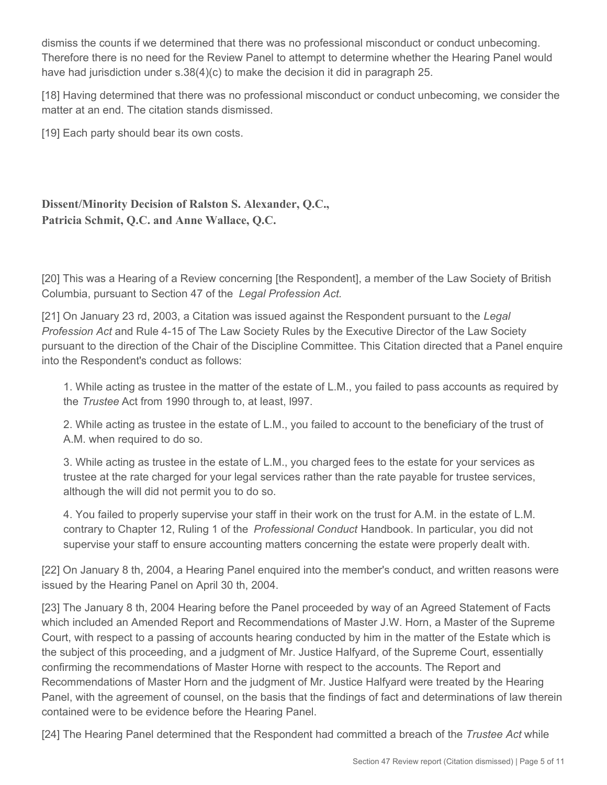dismiss the counts if we determined that there was no professional misconduct or conduct unbecoming. Therefore there is no need for the Review Panel to attempt to determine whether the Hearing Panel would have had jurisdiction under s.38(4)(c) to make the decision it did in paragraph 25.

[18] Having determined that there was no professional misconduct or conduct unbecoming, we consider the matter at an end. The citation stands dismissed.

[19] Each party should bear its own costs.

# **Dissent/Minority Decision of Ralston S. Alexander, Q.C., Patricia Schmit, Q.C. and Anne Wallace, Q.C.**

[20] This was a Hearing of a Review concerning [the Respondent], a member of the Law Society of British Columbia, pursuant to Section 47 of the *Legal Profession Act.*

[21] On January 23 rd, 2003, a Citation was issued against the Respondent pursuant to the *Legal Profession Act* and Rule 4-15 of The Law Society Rules by the Executive Director of the Law Society pursuant to the direction of the Chair of the Discipline Committee. This Citation directed that a Panel enquire into the Respondent's conduct as follows:

1. While acting as trustee in the matter of the estate of L.M., you failed to pass accounts as required by the *Trustee* Act from 1990 through to, at least, l997.

2. While acting as trustee in the estate of L.M., you failed to account to the beneficiary of the trust of A.M. when required to do so.

3. While acting as trustee in the estate of L.M., you charged fees to the estate for your services as trustee at the rate charged for your legal services rather than the rate payable for trustee services, although the will did not permit you to do so.

4. You failed to properly supervise your staff in their work on the trust for A.M. in the estate of L.M. contrary to Chapter 12, Ruling 1 of the *Professional Conduct* Handbook. In particular, you did not supervise your staff to ensure accounting matters concerning the estate were properly dealt with.

[22] On January 8 th, 2004, a Hearing Panel enquired into the member's conduct, and written reasons were issued by the Hearing Panel on April 30 th, 2004.

[23] The January 8 th, 2004 Hearing before the Panel proceeded by way of an Agreed Statement of Facts which included an Amended Report and Recommendations of Master J.W. Horn, a Master of the Supreme Court, with respect to a passing of accounts hearing conducted by him in the matter of the Estate which is the subject of this proceeding, and a judgment of Mr. Justice Halfyard, of the Supreme Court, essentially confirming the recommendations of Master Horne with respect to the accounts. The Report and Recommendations of Master Horn and the judgment of Mr. Justice Halfyard were treated by the Hearing Panel, with the agreement of counsel, on the basis that the findings of fact and determinations of law therein contained were to be evidence before the Hearing Panel.

[24] The Hearing Panel determined that the Respondent had committed a breach of the *Trustee Act* while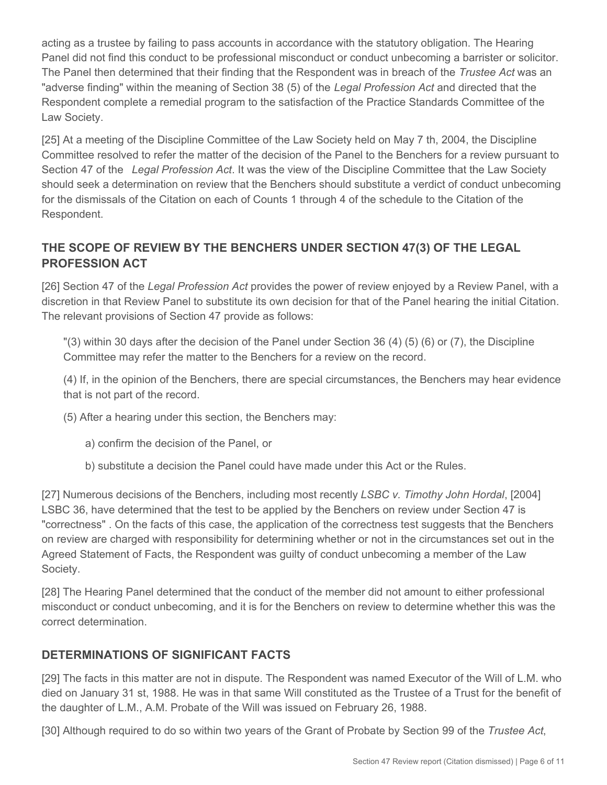acting as a trustee by failing to pass accounts in accordance with the statutory obligation. The Hearing Panel did not find this conduct to be professional misconduct or conduct unbecoming a barrister or solicitor. The Panel then determined that their finding that the Respondent was in breach of the *Trustee Act* was an "adverse finding" within the meaning of Section 38 (5) of the *Legal Profession Act* and directed that the Respondent complete a remedial program to the satisfaction of the Practice Standards Committee of the Law Society.

[25] At a meeting of the Discipline Committee of the Law Society held on May 7 th, 2004, the Discipline Committee resolved to refer the matter of the decision of the Panel to the Benchers for a review pursuant to Section 47 of the *Legal Profession Act*. It was the view of the Discipline Committee that the Law Society should seek a determination on review that the Benchers should substitute a verdict of conduct unbecoming for the dismissals of the Citation on each of Counts 1 through 4 of the schedule to the Citation of the Respondent.

# **THE SCOPE OF REVIEW BY THE BENCHERS UNDER SECTION 47(3) OF THE LEGAL PROFESSION ACT**

[26] Section 47 of the *Legal Profession Act* provides the power of review enjoyed by a Review Panel, with a discretion in that Review Panel to substitute its own decision for that of the Panel hearing the initial Citation. The relevant provisions of Section 47 provide as follows:

"(3) within 30 days after the decision of the Panel under Section 36 (4) (5) (6) or (7), the Discipline Committee may refer the matter to the Benchers for a review on the record.

(4) If, in the opinion of the Benchers, there are special circumstances, the Benchers may hear evidence that is not part of the record.

(5) After a hearing under this section, the Benchers may:

- a) confirm the decision of the Panel, or
- b) substitute a decision the Panel could have made under this Act or the Rules.

[27] Numerous decisions of the Benchers, including most recently *LSBC v. Timothy John Hordal*, [2004] LSBC 36, have determined that the test to be applied by the Benchers on review under Section 47 is "correctness" . On the facts of this case, the application of the correctness test suggests that the Benchers on review are charged with responsibility for determining whether or not in the circumstances set out in the Agreed Statement of Facts, the Respondent was guilty of conduct unbecoming a member of the Law Society.

[28] The Hearing Panel determined that the conduct of the member did not amount to either professional misconduct or conduct unbecoming, and it is for the Benchers on review to determine whether this was the correct determination.

## **DETERMINATIONS OF SIGNIFICANT FACTS**

[29] The facts in this matter are not in dispute. The Respondent was named Executor of the Will of L.M. who died on January 31 st, 1988. He was in that same Will constituted as the Trustee of a Trust for the benefit of the daughter of L.M., A.M. Probate of the Will was issued on February 26, 1988.

[30] Although required to do so within two years of the Grant of Probate by Section 99 of the *Trustee Act*,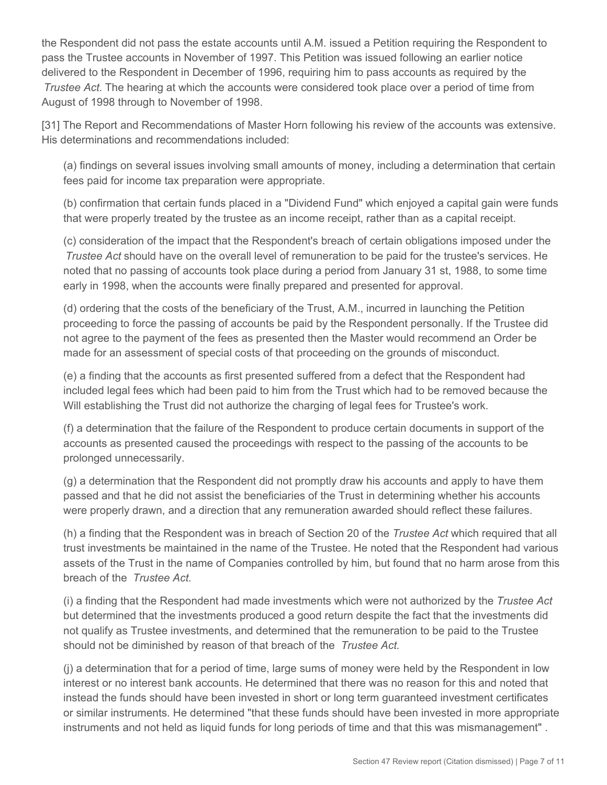the Respondent did not pass the estate accounts until A.M. issued a Petition requiring the Respondent to pass the Trustee accounts in November of 1997. This Petition was issued following an earlier notice delivered to the Respondent in December of 1996, requiring him to pass accounts as required by the *Trustee Act*. The hearing at which the accounts were considered took place over a period of time from August of 1998 through to November of 1998.

[31] The Report and Recommendations of Master Horn following his review of the accounts was extensive. His determinations and recommendations included:

(a) findings on several issues involving small amounts of money, including a determination that certain fees paid for income tax preparation were appropriate.

(b) confirmation that certain funds placed in a "Dividend Fund" which enjoyed a capital gain were funds that were properly treated by the trustee as an income receipt, rather than as a capital receipt.

(c) consideration of the impact that the Respondent's breach of certain obligations imposed under the *Trustee Act* should have on the overall level of remuneration to be paid for the trustee's services. He noted that no passing of accounts took place during a period from January 31 st, 1988, to some time early in 1998, when the accounts were finally prepared and presented for approval.

(d) ordering that the costs of the beneficiary of the Trust, A.M., incurred in launching the Petition proceeding to force the passing of accounts be paid by the Respondent personally. If the Trustee did not agree to the payment of the fees as presented then the Master would recommend an Order be made for an assessment of special costs of that proceeding on the grounds of misconduct.

(e) a finding that the accounts as first presented suffered from a defect that the Respondent had included legal fees which had been paid to him from the Trust which had to be removed because the Will establishing the Trust did not authorize the charging of legal fees for Trustee's work.

(f) a determination that the failure of the Respondent to produce certain documents in support of the accounts as presented caused the proceedings with respect to the passing of the accounts to be prolonged unnecessarily.

(g) a determination that the Respondent did not promptly draw his accounts and apply to have them passed and that he did not assist the beneficiaries of the Trust in determining whether his accounts were properly drawn, and a direction that any remuneration awarded should reflect these failures.

(h) a finding that the Respondent was in breach of Section 20 of the *Trustee Act* which required that all trust investments be maintained in the name of the Trustee. He noted that the Respondent had various assets of the Trust in the name of Companies controlled by him, but found that no harm arose from this breach of the *Trustee Act*.

(i) a finding that the Respondent had made investments which were not authorized by the *Trustee Act* but determined that the investments produced a good return despite the fact that the investments did not qualify as Trustee investments, and determined that the remuneration to be paid to the Trustee should not be diminished by reason of that breach of the *Trustee Act*.

(j) a determination that for a period of time, large sums of money were held by the Respondent in low interest or no interest bank accounts. He determined that there was no reason for this and noted that instead the funds should have been invested in short or long term guaranteed investment certificates or similar instruments. He determined "that these funds should have been invested in more appropriate instruments and not held as liquid funds for long periods of time and that this was mismanagement" .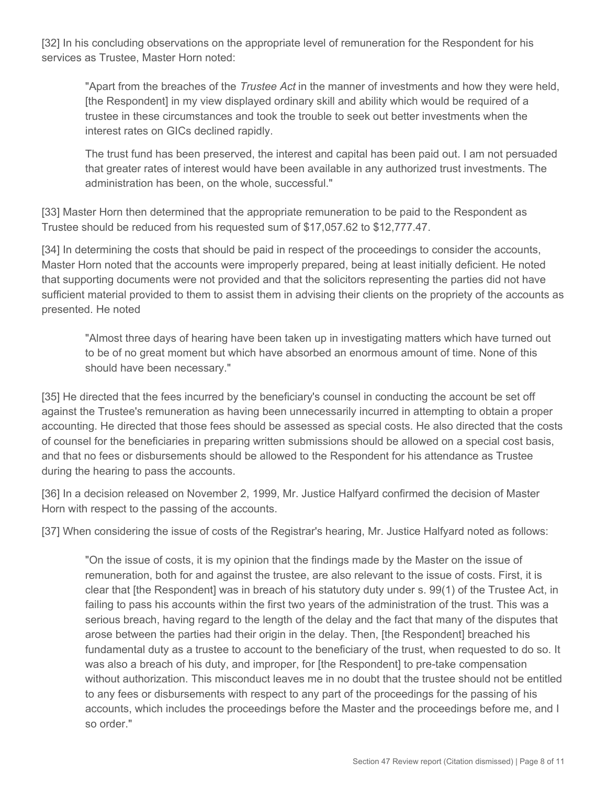[32] In his concluding observations on the appropriate level of remuneration for the Respondent for his services as Trustee, Master Horn noted:

"Apart from the breaches of the *Trustee Act* in the manner of investments and how they were held, [the Respondent] in my view displayed ordinary skill and ability which would be required of a trustee in these circumstances and took the trouble to seek out better investments when the interest rates on GICs declined rapidly.

The trust fund has been preserved, the interest and capital has been paid out. I am not persuaded that greater rates of interest would have been available in any authorized trust investments. The administration has been, on the whole, successful."

[33] Master Horn then determined that the appropriate remuneration to be paid to the Respondent as Trustee should be reduced from his requested sum of \$17,057.62 to \$12,777.47.

[34] In determining the costs that should be paid in respect of the proceedings to consider the accounts, Master Horn noted that the accounts were improperly prepared, being at least initially deficient. He noted that supporting documents were not provided and that the solicitors representing the parties did not have sufficient material provided to them to assist them in advising their clients on the propriety of the accounts as presented. He noted

"Almost three days of hearing have been taken up in investigating matters which have turned out to be of no great moment but which have absorbed an enormous amount of time. None of this should have been necessary."

[35] He directed that the fees incurred by the beneficiary's counsel in conducting the account be set off against the Trustee's remuneration as having been unnecessarily incurred in attempting to obtain a proper accounting. He directed that those fees should be assessed as special costs. He also directed that the costs of counsel for the beneficiaries in preparing written submissions should be allowed on a special cost basis, and that no fees or disbursements should be allowed to the Respondent for his attendance as Trustee during the hearing to pass the accounts.

[36] In a decision released on November 2, 1999, Mr. Justice Halfyard confirmed the decision of Master Horn with respect to the passing of the accounts.

[37] When considering the issue of costs of the Registrar's hearing, Mr. Justice Halfyard noted as follows:

"On the issue of costs, it is my opinion that the findings made by the Master on the issue of remuneration, both for and against the trustee, are also relevant to the issue of costs. First, it is clear that [the Respondent] was in breach of his statutory duty under s. 99(1) of the Trustee Act, in failing to pass his accounts within the first two years of the administration of the trust. This was a serious breach, having regard to the length of the delay and the fact that many of the disputes that arose between the parties had their origin in the delay. Then, [the Respondent] breached his fundamental duty as a trustee to account to the beneficiary of the trust, when requested to do so. It was also a breach of his duty, and improper, for [the Respondent] to pre-take compensation without authorization. This misconduct leaves me in no doubt that the trustee should not be entitled to any fees or disbursements with respect to any part of the proceedings for the passing of his accounts, which includes the proceedings before the Master and the proceedings before me, and I so order."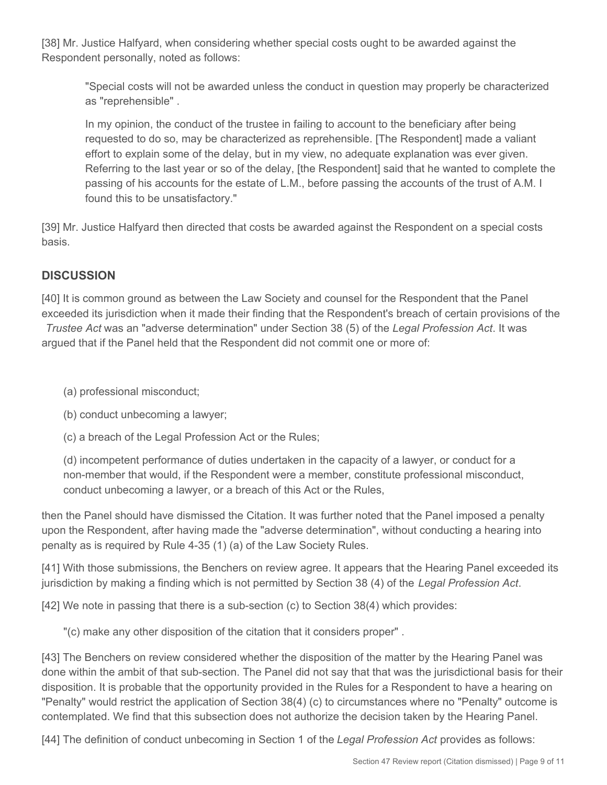[38] Mr. Justice Halfyard, when considering whether special costs ought to be awarded against the Respondent personally, noted as follows:

"Special costs will not be awarded unless the conduct in question may properly be characterized as "reprehensible" .

In my opinion, the conduct of the trustee in failing to account to the beneficiary after being requested to do so, may be characterized as reprehensible. [The Respondent] made a valiant effort to explain some of the delay, but in my view, no adequate explanation was ever given. Referring to the last year or so of the delay, [the Respondent] said that he wanted to complete the passing of his accounts for the estate of L.M., before passing the accounts of the trust of A.M. I found this to be unsatisfactory."

[39] Mr. Justice Halfyard then directed that costs be awarded against the Respondent on a special costs basis.

# **DISCUSSION**

[40] It is common ground as between the Law Society and counsel for the Respondent that the Panel exceeded its jurisdiction when it made their finding that the Respondent's breach of certain provisions of the *Trustee Act* was an "adverse determination" under Section 38 (5) of the *Legal Profession Act*. It was argued that if the Panel held that the Respondent did not commit one or more of:

(a) professional misconduct;

(b) conduct unbecoming a lawyer;

(c) a breach of the Legal Profession Act or the Rules;

(d) incompetent performance of duties undertaken in the capacity of a lawyer, or conduct for a non-member that would, if the Respondent were a member, constitute professional misconduct, conduct unbecoming a lawyer, or a breach of this Act or the Rules,

then the Panel should have dismissed the Citation. It was further noted that the Panel imposed a penalty upon the Respondent, after having made the "adverse determination", without conducting a hearing into penalty as is required by Rule 4-35 (1) (a) of the Law Society Rules.

[41] With those submissions, the Benchers on review agree. It appears that the Hearing Panel exceeded its jurisdiction by making a finding which is not permitted by Section 38 (4) of the *Legal Profession Act*.

[42] We note in passing that there is a sub-section (c) to Section 38(4) which provides:

"(c) make any other disposition of the citation that it considers proper" .

[43] The Benchers on review considered whether the disposition of the matter by the Hearing Panel was done within the ambit of that sub-section. The Panel did not say that that was the jurisdictional basis for their disposition. It is probable that the opportunity provided in the Rules for a Respondent to have a hearing on "Penalty" would restrict the application of Section 38(4) (c) to circumstances where no "Penalty" outcome is contemplated. We find that this subsection does not authorize the decision taken by the Hearing Panel.

[44] The definition of conduct unbecoming in Section 1 of the *Legal Profession Act* provides as follows: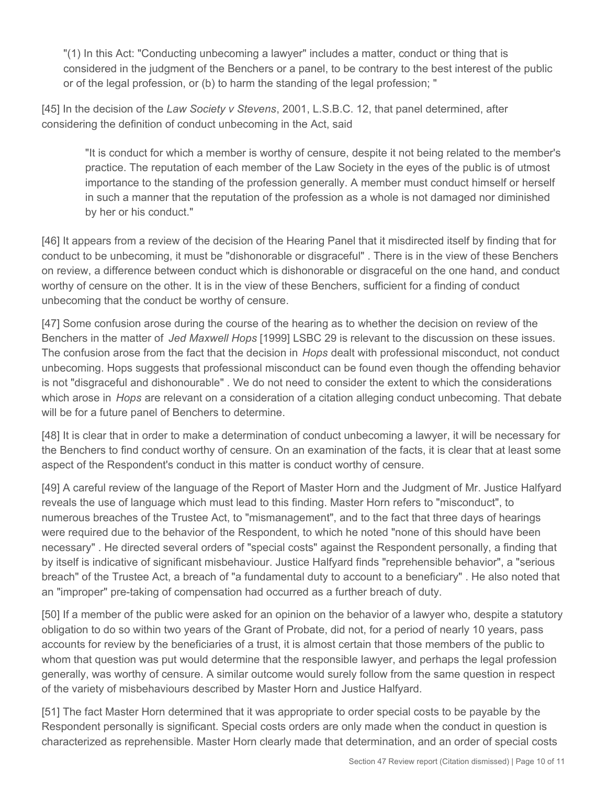"(1) In this Act: "Conducting unbecoming a lawyer" includes a matter, conduct or thing that is considered in the judgment of the Benchers or a panel, to be contrary to the best interest of the public or of the legal profession, or (b) to harm the standing of the legal profession; "

[45] In the decision of the *Law Society v Stevens*, 2001, L.S.B.C. 12, that panel determined, after considering the definition of conduct unbecoming in the Act, said

"It is conduct for which a member is worthy of censure, despite it not being related to the member's practice. The reputation of each member of the Law Society in the eyes of the public is of utmost importance to the standing of the profession generally. A member must conduct himself or herself in such a manner that the reputation of the profession as a whole is not damaged nor diminished by her or his conduct."

[46] It appears from a review of the decision of the Hearing Panel that it misdirected itself by finding that for conduct to be unbecoming, it must be "dishonorable or disgraceful" . There is in the view of these Benchers on review, a difference between conduct which is dishonorable or disgraceful on the one hand, and conduct worthy of censure on the other. It is in the view of these Benchers, sufficient for a finding of conduct unbecoming that the conduct be worthy of censure.

[47] Some confusion arose during the course of the hearing as to whether the decision on review of the Benchers in the matter of *Jed Maxwell Hops* [1999] LSBC 29 is relevant to the discussion on these issues. The confusion arose from the fact that the decision in *Hops* dealt with professional misconduct, not conduct unbecoming. Hops suggests that professional misconduct can be found even though the offending behavior is not "disgraceful and dishonourable" . We do not need to consider the extent to which the considerations which arose in *Hops* are relevant on a consideration of a citation alleging conduct unbecoming. That debate will be for a future panel of Benchers to determine.

[48] It is clear that in order to make a determination of conduct unbecoming a lawyer, it will be necessary for the Benchers to find conduct worthy of censure. On an examination of the facts, it is clear that at least some aspect of the Respondent's conduct in this matter is conduct worthy of censure.

[49] A careful review of the language of the Report of Master Horn and the Judgment of Mr. Justice Halfyard reveals the use of language which must lead to this finding. Master Horn refers to "misconduct", to numerous breaches of the Trustee Act, to "mismanagement", and to the fact that three days of hearings were required due to the behavior of the Respondent, to which he noted "none of this should have been necessary" . He directed several orders of "special costs" against the Respondent personally, a finding that by itself is indicative of significant misbehaviour. Justice Halfyard finds "reprehensible behavior", a "serious breach" of the Trustee Act, a breach of "a fundamental duty to account to a beneficiary" . He also noted that an "improper" pre-taking of compensation had occurred as a further breach of duty.

[50] If a member of the public were asked for an opinion on the behavior of a lawyer who, despite a statutory obligation to do so within two years of the Grant of Probate, did not, for a period of nearly 10 years, pass accounts for review by the beneficiaries of a trust, it is almost certain that those members of the public to whom that question was put would determine that the responsible lawyer, and perhaps the legal profession generally, was worthy of censure. A similar outcome would surely follow from the same question in respect of the variety of misbehaviours described by Master Horn and Justice Halfyard.

[51] The fact Master Horn determined that it was appropriate to order special costs to be payable by the Respondent personally is significant. Special costs orders are only made when the conduct in question is characterized as reprehensible. Master Horn clearly made that determination, and an order of special costs